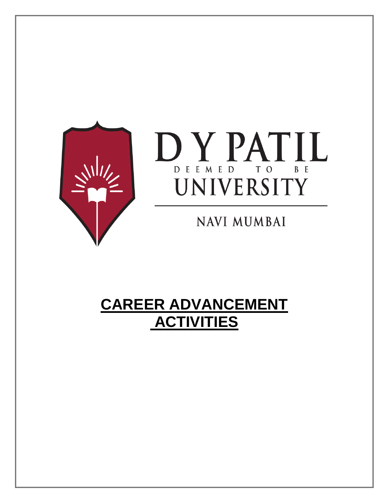



**NAVI MUMBAI** 

# **CAREER ADVANCEMENT ACTIVITIES**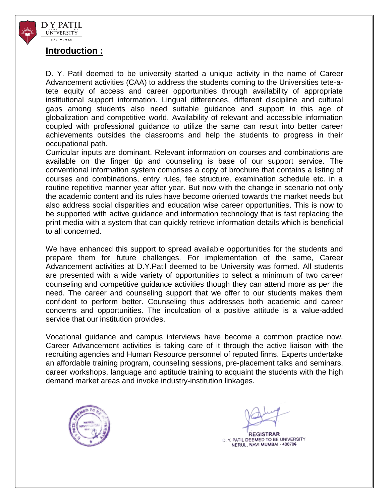

#### **Introduction :**

D. Y. Patil deemed to be university started a unique activity in the name of Career Advancement activities (CAA) to address the students coming to the Universities tete-atete equity of access and career opportunities through availability of appropriate institutional support information. Lingual differences, different discipline and cultural gaps among students also need suitable guidance and support in this age of globalization and competitive world. Availability of relevant and accessible information coupled with professional guidance to utilize the same can result into better career achievements outsides the classrooms and help the students to progress in their occupational path.

Curricular inputs are dominant. Relevant information on courses and combinations are available on the finger tip and counseling is base of our support service. The conventional information system comprises a copy of brochure that contains a listing of courses and combinations, entry rules, fee structure, examination schedule etc. in a routine repetitive manner year after year. But now with the change in scenario not only the academic content and its rules have become oriented towards the market needs but also address social disparities and education wise career opportunities. This is now to be supported with active guidance and information technology that is fast replacing the print media with a system that can quickly retrieve information details which is beneficial to all concerned.

We have enhanced this support to spread available opportunities for the students and prepare them for future challenges. For implementation of the same, Career Advancement activities at D.Y.Patil deemed to be University was formed. All students are presented with a wide variety of opportunities to select a minimum of two career counseling and competitive guidance activities though they can attend more as per the need. The career and counseling support that we offer to our students makes them confident to perform better. Counseling thus addresses both academic and career concerns and opportunities. The inculcation of a positive attitude is a value-added service that our institution provides.

Vocational guidance and campus interviews have become a common practice now. Career Advancement activities is taking care of it through the active liaison with the recruiting agencies and Human Resource personnel of reputed firms. Experts undertake an affordable training program, counseling sessions, pre-placement talks and seminars, career workshops, language and aptitude training to acquaint the students with the high demand market areas and invoke industry-institution linkages.



**REGISTRAR** 

D. Y. PATIL DEEMED TO BE UNIVERSITY NERUL, NAVI MUMBAI - 400706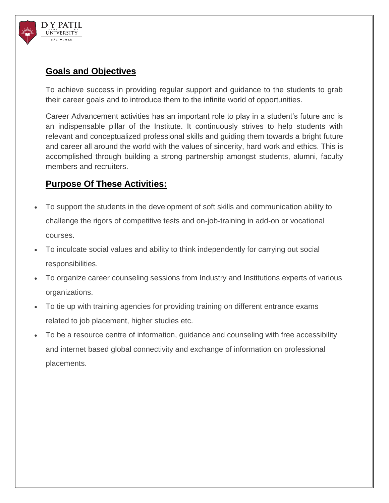

# **Goals and Objectives**

To achieve success in providing regular support and guidance to the students to grab their career goals and to introduce them to the infinite world of opportunities.

Career Advancement activities has an important role to play in a student's future and is an indispensable pillar of the Institute. It continuously strives to help students with relevant and conceptualized professional skills and guiding them towards a bright future and career all around the world with the values of sincerity, hard work and ethics. This is accomplished through building a strong partnership amongst students, alumni, faculty members and recruiters.

# **Purpose Of These Activities:**

- To support the students in the development of soft skills and communication ability to challenge the rigors of competitive tests and on-job-training in add-on or vocational courses.
- To inculcate social values and ability to think independently for carrying out social responsibilities.
- To organize career counseling sessions from Industry and Institutions experts of various organizations.
- To tie up with training agencies for providing training on different entrance exams related to job placement, higher studies etc.
- To be a resource centre of information, guidance and counseling with free accessibility and internet based global connectivity and exchange of information on professional placements.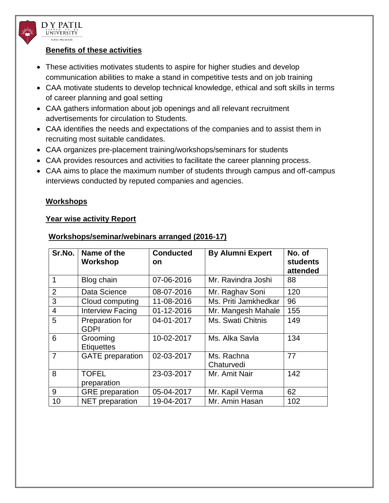

#### **Benefits of these activities**

- These activities motivates students to aspire for higher studies and develop communication abilities to make a stand in competitive tests and on job training
- CAA motivate students to develop technical knowledge, ethical and soft skills in terms of career planning and goal setting
- CAA gathers information about job openings and all relevant recruitment advertisements for circulation to Students.
- CAA identifies the needs and expectations of the companies and to assist them in recruiting most suitable candidates.
- CAA organizes pre-placement training/workshops/seminars for students
- CAA provides resources and activities to facilitate the career planning process.
- CAA aims to place the maximum number of students through campus and off-campus interviews conducted by reputed companies and agencies.

#### **Workshops**

#### **Year wise activity Report**

| Sr.No.         | Name of the<br>Workshop        | <b>Conducted</b><br><b>on</b> | <b>By Alumni Expert</b>  | No. of<br><b>students</b><br>attended |
|----------------|--------------------------------|-------------------------------|--------------------------|---------------------------------------|
| $\mathbf 1$    | Blog chain                     | 07-06-2016                    | Mr. Ravindra Joshi       | 88                                    |
| $\overline{2}$ | Data Science                   | 08-07-2016                    | Mr. Raghav Soni          | 120                                   |
| 3              | Cloud computing                | 11-08-2016                    | Ms. Priti Jamkhedkar     | 96                                    |
| $\overline{4}$ | <b>Interview Facing</b>        | 01-12-2016                    | Mr. Mangesh Mahale       | 155                                   |
| 5              | Preparation for<br><b>GDPI</b> | 04-01-2017                    | Ms. Swati Chitnis        | 149                                   |
| 6              | Grooming<br><b>Etiquettes</b>  | 10-02-2017                    | Ms. Alka Savla           | 134                                   |
| $\overline{7}$ | <b>GATE</b> preparation        | 02-03-2017                    | Ms. Rachna<br>Chaturvedi | 77                                    |
| 8              | <b>TOFEL</b><br>preparation    | 23-03-2017                    | Mr. Amit Nair            | 142                                   |
| 9              | <b>GRE</b> preparation         | 05-04-2017                    | Mr. Kapil Verma          | 62                                    |
| 10             | <b>NET</b> preparation         | 19-04-2017                    | Mr. Amin Hasan           | 102                                   |

#### **Workshops/seminar/webinars arranged (2016-17)**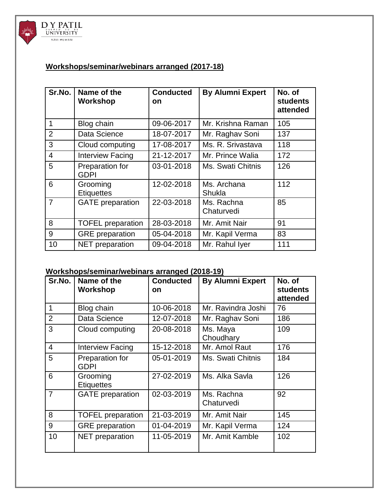

## **Workshops/seminar/webinars arranged (2017-18)**

| Sr.No.         | Name of the<br><b>Workshop</b> | <b>Conducted</b><br><b>on</b> | <b>By Alumni Expert</b>  | No. of<br><b>students</b><br>attended |
|----------------|--------------------------------|-------------------------------|--------------------------|---------------------------------------|
| 1              | Blog chain                     | 09-06-2017                    | Mr. Krishna Raman        | 105                                   |
| $\overline{2}$ | Data Science                   | 18-07-2017                    | Mr. Raghav Soni          | 137                                   |
| 3              | Cloud computing                | 17-08-2017                    | Ms. R. Srivastava        | 118                                   |
| $\overline{4}$ | <b>Interview Facing</b>        | 21-12-2017                    | Mr. Prince Walia         | 172                                   |
| 5              | Preparation for<br><b>GDPI</b> | 03-01-2018                    | Ms. Swati Chitnis        | 126                                   |
| 6              | Grooming<br><b>Etiquettes</b>  | 12-02-2018                    | Ms. Archana<br>Shukla    | 112                                   |
| 7              | <b>GATE</b> preparation        | 22-03-2018                    | Ms. Rachna<br>Chaturvedi | 85                                    |
| 8              | <b>TOFEL</b> preparation       | 28-03-2018                    | Mr. Amit Nair            | 91                                    |
| 9              | <b>GRE</b> preparation         | 05-04-2018                    | Mr. Kapil Verma          | 83                                    |
| 10             | NET preparation                | 09-04-2018                    | Mr. Rahul Iyer           | 111                                   |

## **Workshops/seminar/webinars arranged (2018-19)**

| Sr.No.         | Name of the<br>Workshop        | <b>Conducted</b><br><b>on</b> | <b>By Alumni Expert</b>  | No. of<br><b>students</b><br>attended |
|----------------|--------------------------------|-------------------------------|--------------------------|---------------------------------------|
| 1              | Blog chain                     | 10-06-2018                    | Mr. Ravindra Joshi       | 76                                    |
| $\overline{2}$ | Data Science                   | 12-07-2018                    | Mr. Raghav Soni          | 186                                   |
| 3              | Cloud computing                | 20-08-2018                    | Ms. Maya<br>Choudhary    | 109                                   |
| $\overline{4}$ | <b>Interview Facing</b>        | 15-12-2018                    | Mr. Amol Raut            | 176                                   |
| 5              | Preparation for<br><b>GDPI</b> | 05-01-2019                    | Ms. Swati Chitnis        | 184                                   |
| 6              | Grooming<br><b>Etiquettes</b>  | 27-02-2019                    | Ms. Alka Savla           | 126                                   |
| $\overline{7}$ | <b>GATE</b> preparation        | 02-03-2019                    | Ms. Rachna<br>Chaturvedi | 92                                    |
| 8              | <b>TOFEL</b> preparation       | 21-03-2019                    | Mr. Amit Nair            | 145                                   |
| 9              | <b>GRE</b> preparation         | 01-04-2019                    | Mr. Kapil Verma          | 124                                   |
| 10             | NET preparation                | 11-05-2019                    | Mr. Amit Kamble          | 102                                   |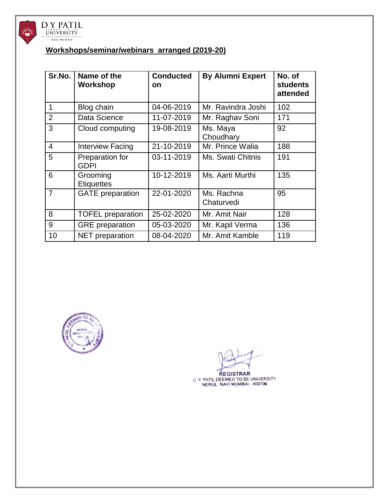

## **Workshops/seminar/webinars arranged (2019-20)**

| Sr.No.         | Name of the<br>Workshop        | <b>Conducted</b><br>on | <b>By Alumni Expert</b>  | No. of<br><b>students</b><br>attended |
|----------------|--------------------------------|------------------------|--------------------------|---------------------------------------|
| 1              | Blog chain                     | 04-06-2019             | Mr. Ravindra Joshi       | 102                                   |
| 2              | Data Science                   | 11-07-2019             | Mr. Raghav Soni          | 171                                   |
| 3              | Cloud computing                | 19-08-2019             | Ms. Maya<br>Choudhary    | 92                                    |
| $\overline{4}$ | <b>Interview Facing</b>        | 21-10-2019             | Mr. Prince Walia         | 188                                   |
| 5              | Preparation for<br><b>GDPI</b> | 03-11-2019             | Ms. Swati Chitnis        | 191                                   |
| 6              | Grooming<br><b>Etiquettes</b>  | 10-12-2019             | Ms. Aarti Murthi         | 135                                   |
| 7              | <b>GATE</b> preparation        | 22-01-2020             | Ms. Rachna<br>Chaturvedi | 95                                    |
| 8              | <b>TOFEL</b> preparation       | 25-02-2020             | Mr. Amit Nair            | 128                                   |
| 9              | <b>GRE</b> preparation         | 05-03-2020             | Mr. Kapil Verma          | 136                                   |
| 10             | NET preparation                | 08-04-2020             | Mr. Amit Kamble          | 119                                   |



REGISTRAR<br>D. Y. PATIL DEEMED TO BE UNIVERSITY<br>NERUL, NAVI MUMBAI - 400706